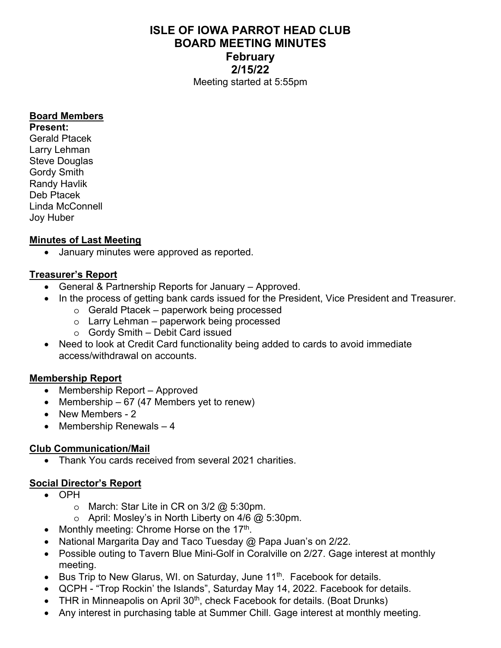# **ISLE OF IOWA PARROT HEAD CLUB BOARD MEETING MINUTES February 2/15/22**  Meeting started at 5:55pm

#### **Board Members**

**Present:**  Gerald Ptacek Larry Lehman Steve Douglas Gordy Smith Randy Havlik Deb Ptacek Linda McConnell Joy Huber

## **Minutes of Last Meeting**

January minutes were approved as reported.

## **Treasurer's Report**

- General & Partnership Reports for January Approved.
- In the process of getting bank cards issued for the President, Vice President and Treasurer.
	- o Gerald Ptacek paperwork being processed
	- o Larry Lehman paperwork being processed
	- o Gordy Smith Debit Card issued
- Need to look at Credit Card functionality being added to cards to avoid immediate access/withdrawal on accounts.

## **Membership Report**

- Membership Report Approved
- Membership  $-67$  (47 Members yet to renew)
- New Members 2
- $\bullet$  Membership Renewals  $-4$

## **Club Communication/Mail**

Thank You cards received from several 2021 charities.

## **Social Director's Report**

- OPH
	- $\circ$  March: Star Lite in CR on 3/2  $@$  5:30pm.
	- $\circ$  April: Mosley's in North Liberty on 4/6 @ 5:30pm.
- Monthly meeting: Chrome Horse on the 17<sup>th</sup>.
- National Margarita Day and Taco Tuesday @ Papa Juan's on 2/22.
- Possible outing to Tavern Blue Mini-Golf in Coralville on 2/27. Gage interest at monthly meeting.
- **Bus Trip to New Glarus, WI. on Saturday, June 11<sup>th</sup>. Facebook for details.**
- QCPH "Trop Rockin' the Islands", Saturday May 14, 2022. Facebook for details.
- THR in Minneapolis on April  $30<sup>th</sup>$ , check Facebook for details. (Boat Drunks)
- Any interest in purchasing table at Summer Chill. Gage interest at monthly meeting.